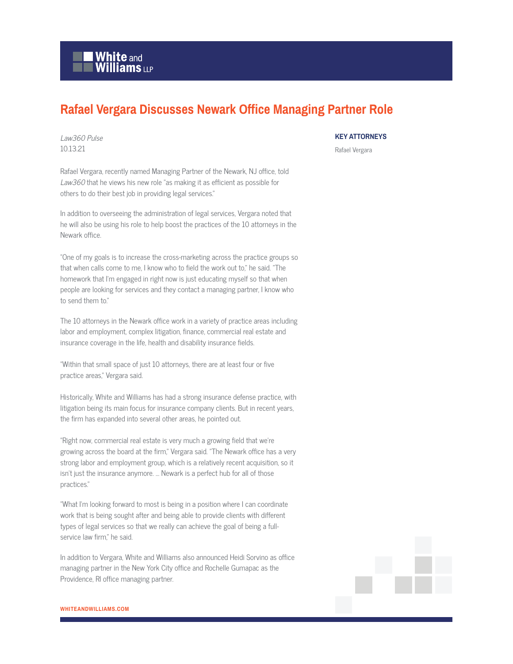

## **Rafael Vergara Discusses Newark Office Managing Partner Role**

Law360 Pulse 10.13.21

Rafael Vergara, recently named Managing Partner of the Newark, NJ office, told Law360 that he views his new role "as making it as efficient as possible for others to do their best job in providing legal services."

In addition to overseeing the administration of legal services, Vergara noted that he will also be using his role to help boost the practices of the 10 attorneys in the Newark office.

"One of my goals is to increase the cross-marketing across the practice groups so that when calls come to me, I know who to field the work out to," he said. "The homework that I'm engaged in right now is just educating myself so that when people are looking for services and they contact a managing partner, I know who to send them to."

The 10 attorneys in the Newark office work in a variety of practice areas including labor and employment, complex litigation, finance, commercial real estate and insurance coverage in the life, health and disability insurance fields.

"Within that small space of just 10 attorneys, there are at least four or five practice areas," Vergara said.

Historically, White and Williams has had a strong insurance defense practice, with litigation being its main focus for insurance company clients. But in recent years, the firm has expanded into several other areas, he pointed out.

"Right now, commercial real estate is very much a growing field that we're growing across the board at the firm," Vergara said. "The Newark office has a very strong labor and employment group, which is a relatively recent acquisition, so it isn't just the insurance anymore. … Newark is a perfect hub for all of those practices."

"What I'm looking forward to most is being in a position where I can coordinate work that is being sought after and being able to provide clients with different types of legal services so that we really can achieve the goal of being a fullservice law firm," he said.

In addition to Vergara, White and Williams also announced Heidi Sorvino as office managing partner in the New York City office and Rochelle Gumapac as the Providence, RI office managing partner.

## **KEY ATTORNEYS**

Rafael Vergara

**WHITEANDWILLIAMS.COM**